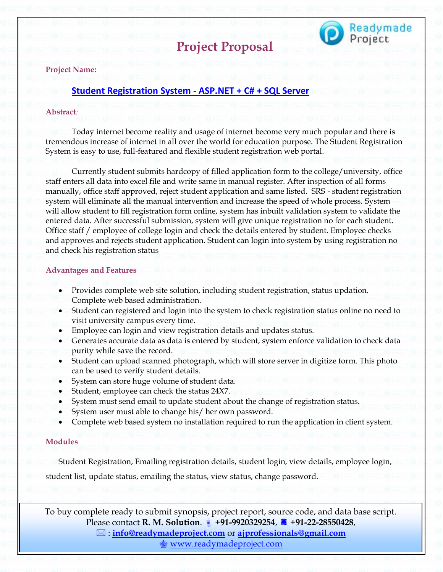



# **Project Name:**

# **[Student Registration System -](https://readymadeproject.com/FullProjectDetail?id=101) ASP.NET + C# + SQL Server**

#### **Abstract***:*

Today internet become reality and usage of internet become very much popular and there is tremendous increase of internet in all over the world for education purpose. The Student Registration System is easy to use, full-featured and flexible student registration web portal.

Currently student submits hardcopy of filled application form to the college/university, office staff enters all data into excel file and write same in manual register. After inspection of all forms manually, office staff approved, reject student application and same listed. SRS - student registration system will eliminate all the manual intervention and increase the speed of whole process. System will allow student to fill registration form online, system has inbuilt validation system to validate the entered data. After successful submission, system will give unique registration no for each student. Office staff / employee of college login and check the details entered by student. Employee checks and approves and rejects student application. Student can login into system by using registration no and check his registration status

#### **Advantages and Features**

- Provides complete web site solution, including student registration, status updation. Complete web based administration.
- Student can registered and login into the system to check registration status online no need to visit university campus every time.
- Employee can login and view registration details and updates status.
- Generates accurate data as data is entered by student, system enforce validation to check data purity while save the record.
- Student can upload scanned photograph, which will store server in digitize form. This photo can be used to verify student details.
- System can store huge volume of student data.
- Student, employee can check the status 24X7.
- System must send email to update student about the change of registration status.
- System user must able to change his/ her own password.
- Complete web based system no installation required to run the application in client system.

# **Modules**

Student Registration, Emailing registration details, student login, view details, employee login,

student list, update status, emailing the status, view status, change password.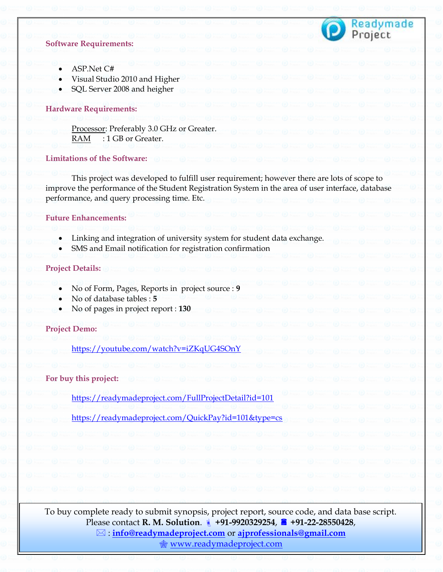# Readymade<br>Project

# **Software Requirements:**

- ASP.Net C#
- Visual Studio 2010 and Higher
- SQL Server 2008 and heigher

#### **Hardware Requirements:**

Processor: Preferably 3.0 GHz or Greater. RAM : 1 GB or Greater.

# **Limitations of the Software:**

This project was developed to fulfill user requirement; however there are lots of scope to improve the performance of the Student Registration System in the area of user interface, database performance, and query processing time. Etc.

# **Future Enhancements:**

- Linking and integration of university system for student data exchange.
- SMS and Email notification for registration confirmation

# **Project Details:**

- No of Form, Pages, Reports in project source : **9**
- No of database tables : **5**
- No of pages in project report : **130**

#### **Project Demo:**

<https://youtube.com/watch?v=iZKqUG4SOnY>

#### **For buy this project:**

<https://readymadeproject.com/FullProjectDetail?id=101>

<https://readymadeproject.com/QuickPay?id=101&type=cs>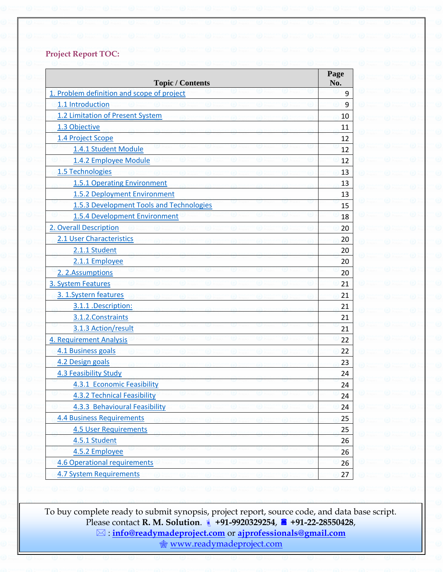# **Project Report TOC:**

| <b>Topic / Contents</b>                    | Page<br>No. |
|--------------------------------------------|-------------|
| 1. Problem definition and scope of project | 9           |
| 1.1 Introduction                           | 9           |
| 1.2 Limitation of Present System           | 10          |
| 1.3 Objective                              | 11          |
| 1.4 Project Scope                          | 12          |
| 1.4.1 Student Module                       | 12          |
| 1.4.2 Employee Module                      | 12          |
| 1.5 Technologies                           | 13          |
| 1.5.1 Operating Environment                | 13          |
| 1.5.2 Deployment Environment               | 13          |
| 1.5.3 Development Tools and Technologies   | 15          |
| 1.5.4 Development Environment              | 18          |
| 2. Overall Description                     | 20          |
| 2.1 User Characteristics                   | 20          |
| 2.1.1 Student                              | 20          |
| 2.1.1 Employee                             | 20          |
| 2. 2. Assumptions                          | 20          |
| 3. System Features                         | 21          |
| 3. 1. Systern features                     | 21          |
| 3.1.1 .Description:                        | 21          |
| 3.1.2. Constraints                         | 21          |
| 3.1.3 Action/result                        | 21          |
| 4. Requirement Analysis                    | 22          |
| 4.1 Business goals                         | 22          |
| 4.2 Design goals                           | 23          |
| 4.3 Feasibility Study                      | 24          |
| 4.3.1 Economic Feasibility                 | 24          |
| <b>4.3.2 Technical Feasibility</b>         | 24          |
| 4.3.3 Behavioural Feasibility              | 24          |
| <b>4.4 Business Requirements</b>           | 25          |
| <b>4.5 User Requirements</b>               | 25          |
| 4.5.1 Student                              | 26          |
| 4.5.2 Employee                             | 26          |
| <b>4.6 Operational requirements</b>        | 26          |
| <b>4.7 System Requirements</b>             | 27          |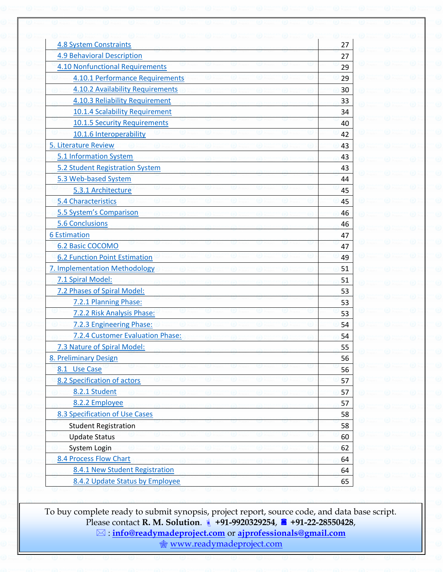| <b>4.8 System Constraints</b>           | 27 |
|-----------------------------------------|----|
| <b>4.9 Behavioral Description</b>       | 27 |
| <b>4.10 Nonfunctional Requirements</b>  | 29 |
| 4.10.1 Performance Requirements         | 29 |
| <b>4.10.2 Availability Requirements</b> | 30 |
| 4.10.3 Reliability Requirement          | 33 |
| 10.1.4 Scalability Requirement          | 34 |
| 10.1.5 Security Requirements            | 40 |
| 10.1.6 Interoperability                 | 42 |
| 5. Literature Review                    | 43 |
| 5.1 Information System                  | 43 |
| 5.2 Student Registration System         | 43 |
| 5.3 Web-based System                    | 44 |
| 5.3.1 Architecture                      | 45 |
| 5.4 Characteristics                     | 45 |
| 5.5 System's Comparison                 | 46 |
| <b>5.6 Conclusions</b>                  | 46 |
| <b>6 Estimation</b>                     | 47 |
| 6.2 Basic COCOMO                        | 47 |
| <b>6.2 Function Point Estimation</b>    | 49 |
| 7. Implementation Methodology           | 51 |
| 7.1 Spiral Model:                       | 51 |
| 7.2 Phases of Spiral Model:             | 53 |
| 7.2.1 Planning Phase:                   | 53 |
| 7.2.2 Risk Analysis Phase:              | 53 |
| 7.2.3 Engineering Phase:                | 54 |
| 7.2.4 Customer Evaluation Phase:        | 54 |
| 7.3 Nature of Spiral Model:             | 55 |
| 8. Preliminary Design                   | 56 |
| 8.1 Use Case                            | 56 |
| 8.2 Specification of actors             | 57 |
| 8.2.1 Student                           | 57 |
| 8.2.2 Employee                          | 57 |
| 8.3 Specification of Use Cases          | 58 |
| <b>Student Registration</b>             | 58 |
| <b>Update Status</b>                    | 60 |
| System Login                            | 62 |
| 8.4 Process Flow Chart                  | 64 |
| 8.4.1 New Student Registration          | 64 |
| 8.4.2 Update Status by Employee         | 65 |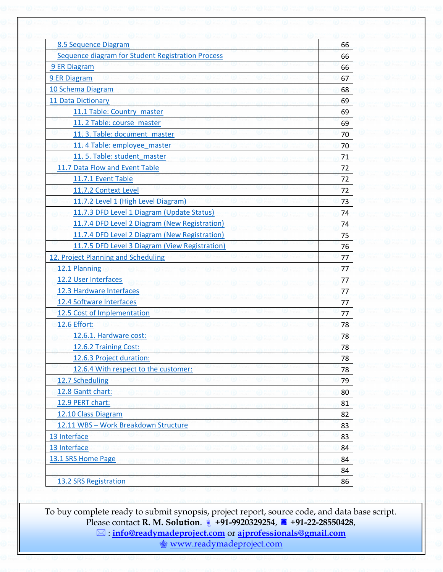| Sequence diagram for Student Registration Process<br>66<br>9 ER Diagram<br>66<br>9 ER Diagram<br>67<br>10 Schema Diagram<br>68<br>11 Data Dictionary<br>69<br>11.1 Table: Country master<br>69<br>11. 2 Table: course master<br>69<br>11. 3. Table: document master<br>70<br>11. 4 Table: employee master<br>70<br>11.5. Table: student master<br>71<br>11.7 Data Flow and Event Table<br>72<br>11.7.1 Event Table<br>72<br>11.7.2 Context Level<br>72<br>11.7.2 Level 1 (High Level Diagram)<br>73<br>11.7.3 DFD Level 1 Diagram (Update Status)<br>74<br>11.7.4 DFD Level 2 Diagram (New Registration)<br>74<br>11.7.4 DFD Level 2 Diagram (New Registration)<br>75<br>11.7.5 DFD Level 3 Diagram (View Registration)<br>76<br>12. Project Planning and Scheduling<br>77<br>12.1 Planning<br>77<br>12.2 User Interfaces<br>77<br>12.3 Hardware Interfaces<br>77<br>12.4 Software Interfaces<br>77<br>12.5 Cost of Implementation<br>77<br>12.6 Effort:<br>78<br>12.6.1. Hardware cost:<br>78<br>12.6.2 Training Cost:<br>78<br>12.6.3 Project duration:<br>78<br>12.6.4 With respect to the customer:<br>78<br>12.7 Scheduling<br>79<br>12.8 Gantt chart:<br>80<br>12.9 PERT chart:<br>81<br>12.10 Class Diagram<br>82<br>12.11 WBS - Work Breakdown Structure<br>83<br>13 Interface<br>83<br>13 Interface<br>84<br>13.1 SRS Home Page<br>84<br>84 | 8.5 Sequence Diagram  | 66 |
|------------------------------------------------------------------------------------------------------------------------------------------------------------------------------------------------------------------------------------------------------------------------------------------------------------------------------------------------------------------------------------------------------------------------------------------------------------------------------------------------------------------------------------------------------------------------------------------------------------------------------------------------------------------------------------------------------------------------------------------------------------------------------------------------------------------------------------------------------------------------------------------------------------------------------------------------------------------------------------------------------------------------------------------------------------------------------------------------------------------------------------------------------------------------------------------------------------------------------------------------------------------------------------------------------------------------------------------------------|-----------------------|----|
|                                                                                                                                                                                                                                                                                                                                                                                                                                                                                                                                                                                                                                                                                                                                                                                                                                                                                                                                                                                                                                                                                                                                                                                                                                                                                                                                                      |                       |    |
|                                                                                                                                                                                                                                                                                                                                                                                                                                                                                                                                                                                                                                                                                                                                                                                                                                                                                                                                                                                                                                                                                                                                                                                                                                                                                                                                                      |                       |    |
|                                                                                                                                                                                                                                                                                                                                                                                                                                                                                                                                                                                                                                                                                                                                                                                                                                                                                                                                                                                                                                                                                                                                                                                                                                                                                                                                                      |                       |    |
|                                                                                                                                                                                                                                                                                                                                                                                                                                                                                                                                                                                                                                                                                                                                                                                                                                                                                                                                                                                                                                                                                                                                                                                                                                                                                                                                                      |                       |    |
|                                                                                                                                                                                                                                                                                                                                                                                                                                                                                                                                                                                                                                                                                                                                                                                                                                                                                                                                                                                                                                                                                                                                                                                                                                                                                                                                                      |                       |    |
|                                                                                                                                                                                                                                                                                                                                                                                                                                                                                                                                                                                                                                                                                                                                                                                                                                                                                                                                                                                                                                                                                                                                                                                                                                                                                                                                                      |                       |    |
|                                                                                                                                                                                                                                                                                                                                                                                                                                                                                                                                                                                                                                                                                                                                                                                                                                                                                                                                                                                                                                                                                                                                                                                                                                                                                                                                                      |                       |    |
|                                                                                                                                                                                                                                                                                                                                                                                                                                                                                                                                                                                                                                                                                                                                                                                                                                                                                                                                                                                                                                                                                                                                                                                                                                                                                                                                                      |                       |    |
|                                                                                                                                                                                                                                                                                                                                                                                                                                                                                                                                                                                                                                                                                                                                                                                                                                                                                                                                                                                                                                                                                                                                                                                                                                                                                                                                                      |                       |    |
|                                                                                                                                                                                                                                                                                                                                                                                                                                                                                                                                                                                                                                                                                                                                                                                                                                                                                                                                                                                                                                                                                                                                                                                                                                                                                                                                                      |                       |    |
|                                                                                                                                                                                                                                                                                                                                                                                                                                                                                                                                                                                                                                                                                                                                                                                                                                                                                                                                                                                                                                                                                                                                                                                                                                                                                                                                                      |                       |    |
|                                                                                                                                                                                                                                                                                                                                                                                                                                                                                                                                                                                                                                                                                                                                                                                                                                                                                                                                                                                                                                                                                                                                                                                                                                                                                                                                                      |                       |    |
|                                                                                                                                                                                                                                                                                                                                                                                                                                                                                                                                                                                                                                                                                                                                                                                                                                                                                                                                                                                                                                                                                                                                                                                                                                                                                                                                                      |                       |    |
|                                                                                                                                                                                                                                                                                                                                                                                                                                                                                                                                                                                                                                                                                                                                                                                                                                                                                                                                                                                                                                                                                                                                                                                                                                                                                                                                                      |                       |    |
|                                                                                                                                                                                                                                                                                                                                                                                                                                                                                                                                                                                                                                                                                                                                                                                                                                                                                                                                                                                                                                                                                                                                                                                                                                                                                                                                                      |                       |    |
|                                                                                                                                                                                                                                                                                                                                                                                                                                                                                                                                                                                                                                                                                                                                                                                                                                                                                                                                                                                                                                                                                                                                                                                                                                                                                                                                                      |                       |    |
|                                                                                                                                                                                                                                                                                                                                                                                                                                                                                                                                                                                                                                                                                                                                                                                                                                                                                                                                                                                                                                                                                                                                                                                                                                                                                                                                                      |                       |    |
|                                                                                                                                                                                                                                                                                                                                                                                                                                                                                                                                                                                                                                                                                                                                                                                                                                                                                                                                                                                                                                                                                                                                                                                                                                                                                                                                                      |                       |    |
|                                                                                                                                                                                                                                                                                                                                                                                                                                                                                                                                                                                                                                                                                                                                                                                                                                                                                                                                                                                                                                                                                                                                                                                                                                                                                                                                                      |                       |    |
|                                                                                                                                                                                                                                                                                                                                                                                                                                                                                                                                                                                                                                                                                                                                                                                                                                                                                                                                                                                                                                                                                                                                                                                                                                                                                                                                                      |                       |    |
|                                                                                                                                                                                                                                                                                                                                                                                                                                                                                                                                                                                                                                                                                                                                                                                                                                                                                                                                                                                                                                                                                                                                                                                                                                                                                                                                                      |                       |    |
|                                                                                                                                                                                                                                                                                                                                                                                                                                                                                                                                                                                                                                                                                                                                                                                                                                                                                                                                                                                                                                                                                                                                                                                                                                                                                                                                                      |                       |    |
|                                                                                                                                                                                                                                                                                                                                                                                                                                                                                                                                                                                                                                                                                                                                                                                                                                                                                                                                                                                                                                                                                                                                                                                                                                                                                                                                                      |                       |    |
|                                                                                                                                                                                                                                                                                                                                                                                                                                                                                                                                                                                                                                                                                                                                                                                                                                                                                                                                                                                                                                                                                                                                                                                                                                                                                                                                                      |                       |    |
|                                                                                                                                                                                                                                                                                                                                                                                                                                                                                                                                                                                                                                                                                                                                                                                                                                                                                                                                                                                                                                                                                                                                                                                                                                                                                                                                                      |                       |    |
|                                                                                                                                                                                                                                                                                                                                                                                                                                                                                                                                                                                                                                                                                                                                                                                                                                                                                                                                                                                                                                                                                                                                                                                                                                                                                                                                                      |                       |    |
|                                                                                                                                                                                                                                                                                                                                                                                                                                                                                                                                                                                                                                                                                                                                                                                                                                                                                                                                                                                                                                                                                                                                                                                                                                                                                                                                                      |                       |    |
|                                                                                                                                                                                                                                                                                                                                                                                                                                                                                                                                                                                                                                                                                                                                                                                                                                                                                                                                                                                                                                                                                                                                                                                                                                                                                                                                                      |                       |    |
|                                                                                                                                                                                                                                                                                                                                                                                                                                                                                                                                                                                                                                                                                                                                                                                                                                                                                                                                                                                                                                                                                                                                                                                                                                                                                                                                                      |                       |    |
|                                                                                                                                                                                                                                                                                                                                                                                                                                                                                                                                                                                                                                                                                                                                                                                                                                                                                                                                                                                                                                                                                                                                                                                                                                                                                                                                                      |                       |    |
|                                                                                                                                                                                                                                                                                                                                                                                                                                                                                                                                                                                                                                                                                                                                                                                                                                                                                                                                                                                                                                                                                                                                                                                                                                                                                                                                                      |                       |    |
|                                                                                                                                                                                                                                                                                                                                                                                                                                                                                                                                                                                                                                                                                                                                                                                                                                                                                                                                                                                                                                                                                                                                                                                                                                                                                                                                                      |                       |    |
|                                                                                                                                                                                                                                                                                                                                                                                                                                                                                                                                                                                                                                                                                                                                                                                                                                                                                                                                                                                                                                                                                                                                                                                                                                                                                                                                                      |                       |    |
|                                                                                                                                                                                                                                                                                                                                                                                                                                                                                                                                                                                                                                                                                                                                                                                                                                                                                                                                                                                                                                                                                                                                                                                                                                                                                                                                                      |                       |    |
|                                                                                                                                                                                                                                                                                                                                                                                                                                                                                                                                                                                                                                                                                                                                                                                                                                                                                                                                                                                                                                                                                                                                                                                                                                                                                                                                                      |                       |    |
|                                                                                                                                                                                                                                                                                                                                                                                                                                                                                                                                                                                                                                                                                                                                                                                                                                                                                                                                                                                                                                                                                                                                                                                                                                                                                                                                                      |                       |    |
|                                                                                                                                                                                                                                                                                                                                                                                                                                                                                                                                                                                                                                                                                                                                                                                                                                                                                                                                                                                                                                                                                                                                                                                                                                                                                                                                                      |                       |    |
|                                                                                                                                                                                                                                                                                                                                                                                                                                                                                                                                                                                                                                                                                                                                                                                                                                                                                                                                                                                                                                                                                                                                                                                                                                                                                                                                                      |                       |    |
|                                                                                                                                                                                                                                                                                                                                                                                                                                                                                                                                                                                                                                                                                                                                                                                                                                                                                                                                                                                                                                                                                                                                                                                                                                                                                                                                                      | 13.2 SRS Registration | 86 |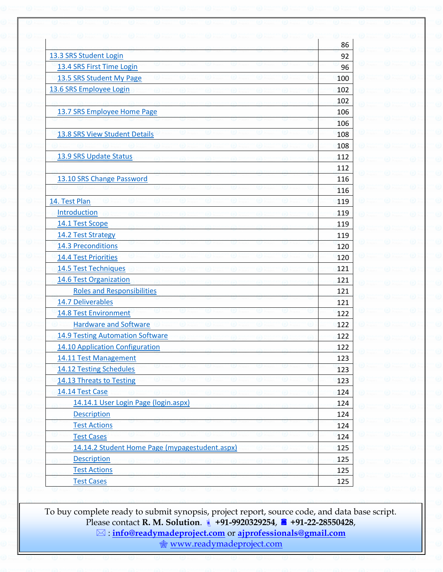|                                                | 86  |
|------------------------------------------------|-----|
| 13.3 SRS Student Login                         | 92  |
| 13.4 SRS First Time Login                      | 96  |
| 13.5 SRS Student My Page                       | 100 |
| 13.6 SRS Employee Login                        | 102 |
|                                                | 102 |
| 13.7 SRS Employee Home Page                    | 106 |
|                                                | 106 |
| 13.8 SRS View Student Details                  | 108 |
|                                                | 108 |
| 13.9 SRS Update Status                         | 112 |
|                                                | 112 |
| 13.10 SRS Change Password                      | 116 |
|                                                | 116 |
| 14. Test Plan                                  | 119 |
| Introduction                                   | 119 |
| 14.1 Test Scope                                | 119 |
| 14.2 Test Strategy                             | 119 |
| 14.3 Preconditions                             | 120 |
| <b>14.4 Test Priorities</b>                    | 120 |
| 14.5 Test Techniques                           | 121 |
| 14.6 Test Organization                         | 121 |
| <b>Roles and Responsibilities</b>              | 121 |
| 14.7 Deliverables                              | 121 |
| <b>14.8 Test Environment</b>                   | 122 |
| <b>Hardware and Software</b>                   | 122 |
| <b>14.9 Testing Automation Software</b>        | 122 |
| 14.10 Application Configuration                | 122 |
| 14.11 Test Management                          | 123 |
| 14.12 Testing Schedules                        | 123 |
| 14.13 Threats to Testing                       | 123 |
| 14.14 Test Case                                | 124 |
| 14.14.1 User Login Page (login.aspx)           | 124 |
| <b>Description</b>                             | 124 |
| <b>Test Actions</b>                            | 124 |
| <b>Test Cases</b>                              | 124 |
| 14.14.2 Student Home Page (mypagestudent.aspx) | 125 |
| <b>Description</b>                             | 125 |
| <b>Test Actions</b>                            | 125 |
| <b>Test Cases</b>                              | 125 |